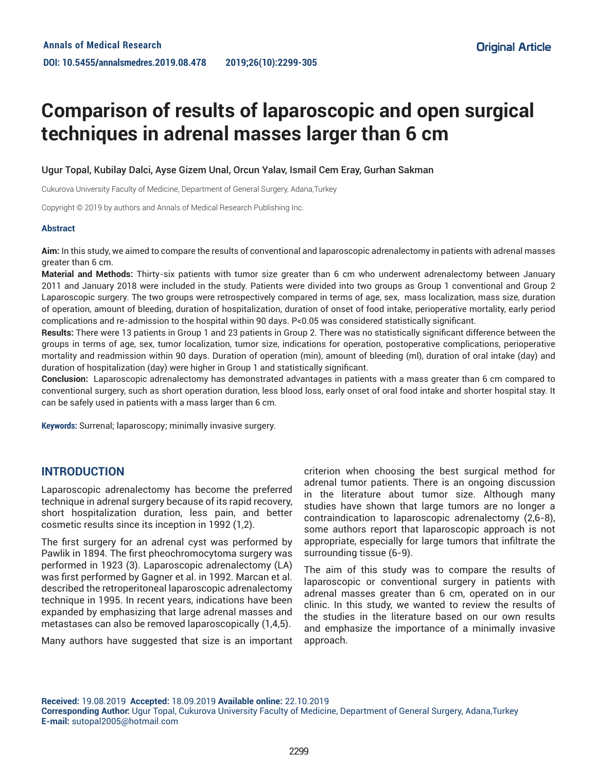# **Comparison of results of laparoscopic and open surgical techniques in adrenal masses larger than 6 cm**

Ugur Topal, Kubilay Dalci, Ayse Gizem Unal, Orcun Yalav, Ismail Cem Eray, Gurhan Sakman

Cukurova University Faculty of Medicine, Department of General Surgery, Adana,Turkey

Copyright © 2019 by authors and Annals of Medical Research Publishing Inc.

#### **Abstract**

**Aim:** In this study, we aimed to compare the results of conventional and laparoscopic adrenalectomy in patients with adrenal masses greater than 6 cm.

**Material and Methods:** Thirty-six patients with tumor size greater than 6 cm who underwent adrenalectomy between January 2011 and January 2018 were included in the study. Patients were divided into two groups as Group 1 conventional and Group 2 Laparoscopic surgery. The two groups were retrospectively compared in terms of age, sex, mass localization, mass size, duration of operation, amount of bleeding, duration of hospitalization, duration of onset of food intake, perioperative mortality, early period complications and re-admission to the hospital within 90 days. P<0.05 was considered statistically significant.

**Results:** There were 13 patients in Group 1 and 23 patients in Group 2. There was no statistically significant difference between the groups in terms of age, sex, tumor localization, tumor size, indications for operation, postoperative complications, perioperative mortality and readmission within 90 days. Duration of operation (min), amount of bleeding (ml), duration of oral intake (day) and duration of hospitalization (day) were higher in Group 1 and statistically significant.

**Conclusion:** Laparoscopic adrenalectomy has demonstrated advantages in patients with a mass greater than 6 cm compared to conventional surgery, such as short operation duration, less blood loss, early onset of oral food intake and shorter hospital stay. It can be safely used in patients with a mass larger than 6 cm.

**Keywords:** Surrenal; laparoscopy; minimally invasive surgery.

## **INTRODUCTION**

Laparoscopic adrenalectomy has become the preferred technique in adrenal surgery because of its rapid recovery, short hospitalization duration, less pain, and better cosmetic results since its inception in 1992 (1,2).

The first surgery for an adrenal cyst was performed by Pawlik in 1894. The first pheochromocytoma surgery was performed in 1923 (3). Laparoscopic adrenalectomy (LA) was first performed by Gagner et al. in 1992. Marcan et al. described the retroperitoneal laparoscopic adrenalectomy technique in 1995. In recent years, indications have been expanded by emphasizing that large adrenal masses and metastases can also be removed laparoscopically (1,4,5).

Many authors have suggested that size is an important

criterion when choosing the best surgical method for adrenal tumor patients. There is an ongoing discussion in the literature about tumor size. Although many studies have shown that large tumors are no longer a contraindication to laparoscopic adrenalectomy (2,6-8), some authors report that laparoscopic approach is not appropriate, especially for large tumors that infiltrate the surrounding tissue (6-9).

The aim of this study was to compare the results of laparoscopic or conventional surgery in patients with adrenal masses greater than 6 cm, operated on in our clinic. In this study, we wanted to review the results of the studies in the literature based on our own results and emphasize the importance of a minimally invasive approach.

**Received:** 19.08.2019 **Accepted:** 18.09.2019 **Available online:** 22.10.2019 **Corresponding Author:** Ugur Topal, Cukurova University Faculty of Medicine, Department of General Surgery, Adana,Turkey **E-mail:** sutopal2005@hotmail.com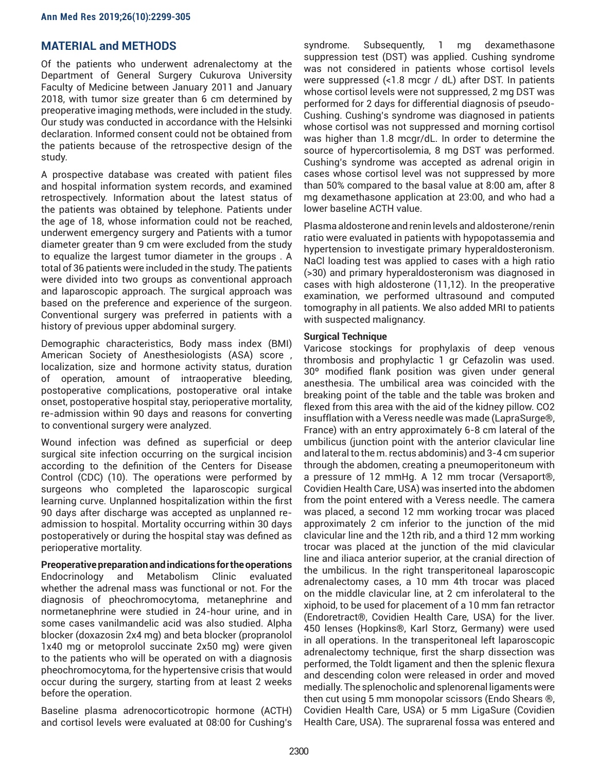## **MATERIAL and METHODS**

Of the patients who underwent adrenalectomy at the Department of General Surgery Cukurova University Faculty of Medicine between January 2011 and January 2018, with tumor size greater than 6 cm determined by preoperative imaging methods, were included in the study. Our study was conducted in accordance with the Helsinki declaration. Informed consent could not be obtained from the patients because of the retrospective design of the study.

A prospective database was created with patient files and hospital information system records, and examined retrospectively. Information about the latest status of the patients was obtained by telephone. Patients under the age of 18, whose information could not be reached, underwent emergency surgery and Patients with a tumor diameter greater than 9 cm were excluded from the study to equalize the largest tumor diameter in the groups . A total of 36 patients were included in the study. The patients were divided into two groups as conventional approach and laparoscopic approach. The surgical approach was based on the preference and experience of the surgeon. Conventional surgery was preferred in patients with a history of previous upper abdominal surgery.

Demographic characteristics, Body mass index (BMI) American Society of Anesthesiologists (ASA) score , localization, size and hormone activity status, duration of operation, amount of intraoperative bleeding, postoperative complications, postoperative oral intake onset, postoperative hospital stay, perioperative mortality, re-admission within 90 days and reasons for converting to conventional surgery were analyzed.

Wound infection was defined as superficial or deep surgical site infection occurring on the surgical incision according to the definition of the Centers for Disease Control (CDC) (10). The operations were performed by surgeons who completed the laparoscopic surgical learning curve. Unplanned hospitalization within the first 90 days after discharge was accepted as unplanned readmission to hospital. Mortality occurring within 30 days postoperatively or during the hospital stay was defined as perioperative mortality.

**Preoperative preparation and indications for the operations** Endocrinology and Metabolism Clinic evaluated whether the adrenal mass was functional or not. For the diagnosis of pheochromocytoma, metanephrine and normetanephrine were studied in 24-hour urine, and in some cases vanilmandelic acid was also studied. Alpha blocker (doxazosin 2x4 mg) and beta blocker (propranolol 1x40 mg or metoprolol succinate 2x50 mg) were given to the patients who will be operated on with a diagnosis pheochromocytoma, for the hypertensive crisis that would occur during the surgery, starting from at least 2 weeks before the operation.

Baseline plasma adrenocorticotropic hormone (ACTH) and cortisol levels were evaluated at 08:00 for Cushing's

syndrome. Subsequently, 1 mg dexamethasone suppression test (DST) was applied. Cushing syndrome was not considered in patients whose cortisol levels were suppressed (<1.8 mcgr / dL) after DST. In patients whose cortisol levels were not suppressed, 2 mg DST was performed for 2 days for differential diagnosis of pseudo-Cushing. Cushing's syndrome was diagnosed in patients whose cortisol was not suppressed and morning cortisol was higher than 1.8 mcgr/dL. In order to determine the source of hypercortisolemia, 8 mg DST was performed. Cushing's syndrome was accepted as adrenal origin in cases whose cortisol level was not suppressed by more than 50% compared to the basal value at 8:00 am, after 8 mg dexamethasone application at 23:00, and who had a lower baseline ACTH value.

Plasma aldosterone and renin levels and aldosterone/renin ratio were evaluated in patients with hypopotassemia and hypertension to investigate primary hyperaldosteronism. NaCl loading test was applied to cases with a high ratio (>30) and primary hyperaldosteronism was diagnosed in cases with high aldosterone (11,12). In the preoperative examination, we performed ultrasound and computed tomography in all patients. We also added MRI to patients with suspected malignancy.

### **Surgical Technique**

Varicose stockings for prophylaxis of deep venous thrombosis and prophylactic 1 gr Cefazolin was used. 30º modified flank position was given under general anesthesia. The umbilical area was coincided with the breaking point of the table and the table was broken and flexed from this area with the aid of the kidney pillow. CO2 insufflation with a Veress needle was made (LapraSurge®, France) with an entry approximately 6-8 cm lateral of the umbilicus (junction point with the anterior clavicular line and lateral to the m. rectus abdominis) and 3-4 cm superior through the abdomen, creating a pneumoperitoneum with a pressure of 12 mmHg. A 12 mm trocar (Versaport®, Covidien Health Care, USA) was inserted into the abdomen from the point entered with a Veress needle. The camera was placed, a second 12 mm working trocar was placed approximately 2 cm inferior to the junction of the mid clavicular line and the 12th rib, and a third 12 mm working trocar was placed at the junction of the mid clavicular line and iliaca anterior superior, at the cranial direction of the umbilicus. In the right transperitoneal laparoscopic adrenalectomy cases, a 10 mm 4th trocar was placed on the middle clavicular line, at 2 cm inferolateral to the xiphoid, to be used for placement of a 10 mm fan retractor (Endoretract®, Covidien Health Care, USA) for the liver. 450 lenses (Hopkins®, Karl Storz, Germany) were used in all operations. In the transperitoneal left laparoscopic adrenalectomy technique, first the sharp dissection was performed, the Toldt ligament and then the splenic flexura and descending colon were released in order and moved medially. The splenocholic and splenorenal ligaments were then cut using 5 mm monopolar scissors (Endo Shears ®, Covidien Health Care, USA) or 5 mm LigaSure (Covidien Health Care, USA). The suprarenal fossa was entered and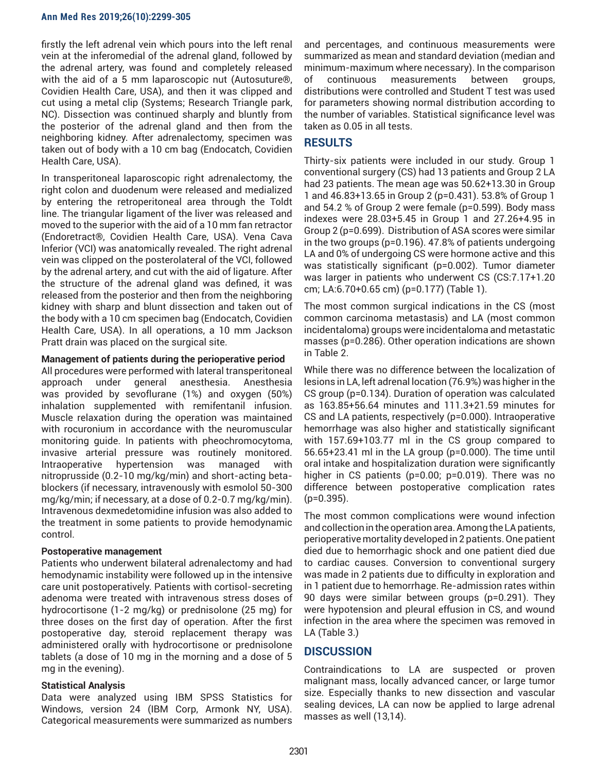firstly the left adrenal vein which pours into the left renal vein at the inferomedial of the adrenal gland, followed by the adrenal artery, was found and completely released with the aid of a 5 mm laparoscopic nut (Autosuture®, Covidien Health Care, USA), and then it was clipped and cut using a metal clip (Systems; Research Triangle park, NC). Dissection was continued sharply and bluntly from the posterior of the adrenal gland and then from the neighboring kidney. After adrenalectomy, specimen was taken out of body with a 10 cm bag (Endocatch, Covidien Health Care, USA).

In transperitoneal laparoscopic right adrenalectomy, the right colon and duodenum were released and medialized by entering the retroperitoneal area through the Toldt line. The triangular ligament of the liver was released and moved to the superior with the aid of a 10 mm fan retractor (Endoretract®, Covidien Health Care, USA). Vena Cava Inferior (VCI) was anatomically revealed. The right adrenal vein was clipped on the posterolateral of the VCI, followed by the adrenal artery, and cut with the aid of ligature. After the structure of the adrenal gland was defined, it was released from the posterior and then from the neighboring kidney with sharp and blunt dissection and taken out of the body with a 10 cm specimen bag (Endocatch, Covidien Health Care, USA). In all operations, a 10 mm Jackson Pratt drain was placed on the surgical site.

## **Management of patients during the perioperative period**

All procedures were performed with lateral transperitoneal approach under general anesthesia. Anesthesia was provided by sevoflurane (1%) and oxygen (50%) inhalation supplemented with remifentanil infusion. Muscle relaxation during the operation was maintained with rocuronium in accordance with the neuromuscular monitoring guide. In patients with pheochromocytoma, invasive arterial pressure was routinely monitored. Intraoperative hypertension was managed with nitroprusside (0.2-10 mg/kg/min) and short-acting betablockers (if necessary, intravenously with esmolol 50-300 mg/kg/min; if necessary, at a dose of 0.2-0.7 mg/kg/min). Intravenous dexmedetomidine infusion was also added to the treatment in some patients to provide hemodynamic control.

### **Postoperative management**

Patients who underwent bilateral adrenalectomy and had hemodynamic instability were followed up in the intensive care unit postoperatively. Patients with cortisol-secreting adenoma were treated with intravenous stress doses of hydrocortisone (1-2 mg/kg) or prednisolone (25 mg) for three doses on the first day of operation. After the first postoperative day, steroid replacement therapy was administered orally with hydrocortisone or prednisolone tablets (a dose of 10 mg in the morning and a dose of 5 mg in the evening).

## **Statistical Analysis**

Data were analyzed using IBM SPSS Statistics for Windows, version 24 (IBM Corp, Armonk NY, USA). Categorical measurements were summarized as numbers and percentages, and continuous measurements were summarized as mean and standard deviation (median and minimum-maximum where necessary). In the comparison of continuous measurements between groups, distributions were controlled and Student T test was used for parameters showing normal distribution according to the number of variables. Statistical significance level was taken as 0.05 in all tests.

# **RESULTS**

Thirty-six patients were included in our study. Group 1 conventional surgery (CS) had 13 patients and Group 2 LA had 23 patients. The mean age was 50.62+13.30 in Group 1 and 46.83+13.65 in Group 2 (p=0.431). 53.8% of Group 1 and 54.2 % of Group 2 were female (p=0.599). Body mass indexes were 28.03+5.45 in Group 1 and 27.26+4.95 in Group 2 (p=0.699). Distribution of ASA scores were similar in the two groups (p=0.196). 47.8% of patients undergoing LA and 0% of undergoing CS were hormone active and this was statistically significant (p=0.002). Tumor diameter was larger in patients who underwent CS (CS:7.17+1.20 cm; LA:6.70+0.65 cm) (p=0.177) (Table 1).

The most common surgical indications in the CS (most common carcinoma metastasis) and LA (most common incidentaloma) groups were incidentaloma and metastatic masses (p=0.286). Other operation indications are shown in Table 2.

While there was no difference between the localization of lesions in LA, left adrenal location (76.9%) was higher in the CS group (p=0.134). Duration of operation was calculated as 163.85+56.64 minutes and 111.3+21.59 minutes for CS and LA patients, respectively (p=0.000). Intraoperative hemorrhage was also higher and statistically significant with 157.69+103.77 ml in the CS group compared to 56.65+23.41 ml in the LA group (p=0.000). The time until oral intake and hospitalization duration were significantly higher in CS patients (p=0.00; p=0.019). There was no difference between postoperative complication rates  $(p=0.395)$ .

The most common complications were wound infection and collection in the operation area. Among the LA patients, perioperative mortality developed in 2 patients. One patient died due to hemorrhagic shock and one patient died due to cardiac causes. Conversion to conventional surgery was made in 2 patients due to difficulty in exploration and in 1 patient due to hemorrhage. Re-admission rates within 90 days were similar between groups (p=0.291). They were hypotension and pleural effusion in CS, and wound infection in the area where the specimen was removed in LA (Table 3.)

## **DISCUSSION**

Contraindications to LA are suspected or proven malignant mass, locally advanced cancer, or large tumor size. Especially thanks to new dissection and vascular sealing devices, LA can now be applied to large adrenal masses as well (13,14).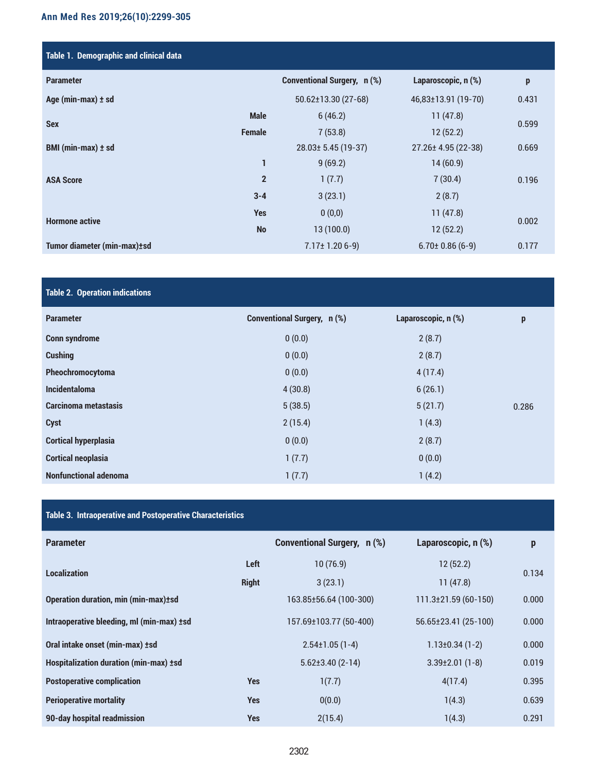# **Ann Med Res 2019;26(10):2299-305**

| Table 1. Demographic and clinical data |                |                                    |                       |       |
|----------------------------------------|----------------|------------------------------------|-----------------------|-------|
| <b>Parameter</b>                       |                | <b>Conventional Surgery, n (%)</b> | Laparoscopic, n (%)   | p     |
| Age (min-max) ± sd                     |                | 50.62±13.30 (27-68)                | 46,83±13.91 (19-70)   | 0.431 |
| <b>Sex</b>                             | <b>Male</b>    | 6(46.2)                            | 11(47.8)              | 0.599 |
|                                        | <b>Female</b>  | 7(53.8)                            | 12(52.2)              |       |
| BMI (min-max) ± sd                     |                | 28.03± 5.45 (19-37)                | 27.26± 4.95 (22-38)   | 0.669 |
| <b>ASA Score</b>                       | 1              | 9(69.2)                            | 14(60.9)              | 0.196 |
|                                        | $\overline{2}$ | 1(7.7)                             | 7(30.4)               |       |
|                                        | $3 - 4$        | 3(23.1)                            | 2(8.7)                |       |
| <b>Hormone active</b>                  | <b>Yes</b>     | 0(0,0)                             | 11(47.8)              | 0.002 |
|                                        | <b>No</b>      | 13(100.0)                          | 12(52.2)              |       |
| Tumor diameter (min-max)±sd            |                | $7.17 \pm 1.206 - 9$               | $6.70 \pm 0.86$ (6-9) | 0.177 |

# **Table 2. Operation indications**

| <b>Parameter</b>             | <b>Conventional Surgery, n (%)</b> | Laparoscopic, n (%) | p     |
|------------------------------|------------------------------------|---------------------|-------|
| <b>Conn syndrome</b>         | 0(0.0)                             | 2(8.7)              |       |
| <b>Cushing</b>               | 0(0.0)                             | 2(8.7)              |       |
| Pheochromocytoma             | 0(0.0)                             | 4(17.4)             |       |
| <b>Incidentaloma</b>         | 4(30.8)                            | 6(26.1)             |       |
| Carcinoma metastasis         | 5(38.5)                            | 5(21.7)             | 0.286 |
| Cyst                         | 2(15.4)                            | 1(4.3)              |       |
| <b>Cortical hyperplasia</b>  | 0(0.0)                             | 2(8.7)              |       |
| <b>Cortical neoplasia</b>    | 1(7.7)                             | 0(0.0)              |       |
| <b>Nonfunctional adenoma</b> | 1(7.7)                             | 1(4.2)              |       |

# **Table 3. Intraoperative and Postoperative Characteristics**

| <b>Parameter</b>                            |              | <b>Conventional Surgery, n (%)</b> | Laparoscopic, n (%)      | $\boldsymbol{\mathsf{p}}$ |
|---------------------------------------------|--------------|------------------------------------|--------------------------|---------------------------|
| <b>Localization</b>                         | Left         | 10(76.9)                           | 12(52.2)                 |                           |
|                                             | <b>Right</b> | 3(23.1)                            | 11(47.8)                 | 0.134                     |
| <b>Operation duration, min (min-max)±sd</b> |              | 163.85±56.64 (100-300)             | $111.3\pm 21.59(60-150)$ | 0.000                     |
| Intraoperative bleeding, ml (min-max) ±sd   |              | 157.69±103.77 (50-400)             | 56.65±23.41 (25-100)     | 0.000                     |
| Oral intake onset (min-max) ±sd             |              | $2.54 \pm 1.05(1 - 4)$             | $1.13 \pm 0.34(1-2)$     | 0.000                     |
| Hospitalization duration (min-max) ±sd      |              | $5.62\pm3.40(2-14)$                | $3.39 \pm 2.01$ (1-8)    | 0.019                     |
| <b>Postoperative complication</b>           | <b>Yes</b>   | 1(7.7)                             | 4(17.4)                  | 0.395                     |
| <b>Perioperative mortality</b>              | <b>Yes</b>   | 0(0.0)                             | 1(4.3)                   | 0.639                     |
| 90-day hospital readmission                 | <b>Yes</b>   | 2(15.4)                            | 1(4.3)                   | 0.291                     |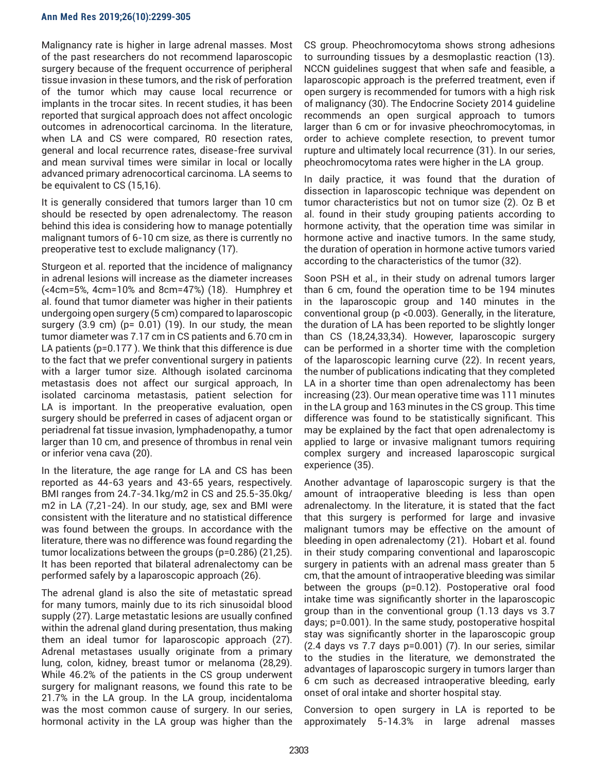#### **Ann Med Res 2019;26(10):2299-305**

Malignancy rate is higher in large adrenal masses. Most of the past researchers do not recommend laparoscopic surgery because of the frequent occurrence of peripheral tissue invasion in these tumors, and the risk of perforation of the tumor which may cause local recurrence or implants in the trocar sites. In recent studies, it has been reported that surgical approach does not affect oncologic outcomes in adrenocortical carcinoma. In the literature, when LA and CS were compared, R0 resection rates, general and local recurrence rates, disease-free survival and mean survival times were similar in local or locally advanced primary adrenocortical carcinoma. LA seems to be equivalent to CS (15,16).

It is generally considered that tumors larger than 10 cm should be resected by open adrenalectomy. The reason behind this idea is considering how to manage potentially malignant tumors of 6-10 cm size, as there is currently no preoperative test to exclude malignancy (17).

Sturgeon et al. reported that the incidence of malignancy in adrenal lesions will increase as the diameter increases (<4cm=5%, 4cm=10% and 8cm=47%) (18). Humphrey et al. found that tumor diameter was higher in their patients undergoing open surgery (5 cm) compared to laparoscopic surgery  $(3.9 \text{ cm})$  (p= 0.01) (19). In our study, the mean tumor diameter was 7.17 cm in CS patients and 6.70 cm in LA patients (p=0.177 ). We think that this difference is due to the fact that we prefer conventional surgery in patients with a larger tumor size. Although isolated carcinoma metastasis does not affect our surgical approach, In isolated carcinoma metastasis, patient selection for LA is important. In the preoperative evaluation, open surgery should be preferred in cases of adjacent organ or periadrenal fat tissue invasion, lymphadenopathy, a tumor larger than 10 cm, and presence of thrombus in renal vein or inferior vena cava (20).

In the literature, the age range for LA and CS has been reported as 44-63 years and 43-65 years, respectively. BMI ranges from 24.7-34.1kg/m2 in CS and 25.5-35.0kg/ m2 in LA (7,21-24). In our study, age, sex and BMI were consistent with the literature and no statistical difference was found between the groups. In accordance with the literature, there was no difference was found regarding the tumor localizations between the groups (p=0.286) (21,25). It has been reported that bilateral adrenalectomy can be performed safely by a laparoscopic approach (26).

The adrenal gland is also the site of metastatic spread for many tumors, mainly due to its rich sinusoidal blood supply (27). Large metastatic lesions are usually confined within the adrenal gland during presentation, thus making them an ideal tumor for laparoscopic approach (27). Adrenal metastases usually originate from a primary lung, colon, kidney, breast tumor or melanoma (28,29). While 46.2% of the patients in the CS group underwent surgery for malignant reasons, we found this rate to be 21.7% in the LA group. In the LA group, incidentaloma was the most common cause of surgery. In our series, hormonal activity in the LA group was higher than the

CS group. Pheochromocytoma shows strong adhesions to surrounding tissues by a desmoplastic reaction (13). NCCN guidelines suggest that when safe and feasible, a laparoscopic approach is the preferred treatment, even if open surgery is recommended for tumors with a high risk of malignancy (30). The Endocrine Society 2014 guideline recommends an open surgical approach to tumors larger than 6 cm or for invasive pheochromocytomas, in order to achieve complete resection, to prevent tumor rupture and ultimately local recurrence (31). In our series, pheochromocytoma rates were higher in the LA group.

In daily practice, it was found that the duration of dissection in laparoscopic technique was dependent on tumor characteristics but not on tumor size (2). Oz B et al. found in their study grouping patients according to hormone activity, that the operation time was similar in hormone active and inactive tumors. In the same study, the duration of operation in hormone active tumors varied according to the characteristics of the tumor (32).

Soon PSH et al., in their study on adrenal tumors larger than 6 cm, found the operation time to be 194 minutes in the laparoscopic group and 140 minutes in the conventional group (p <0.003). Generally, in the literature, the duration of LA has been reported to be slightly longer than CS (18,24,33,34). However, laparoscopic surgery can be performed in a shorter time with the completion of the laparoscopic learning curve (22). In recent years, the number of publications indicating that they completed LA in a shorter time than open adrenalectomy has been increasing (23). Our mean operative time was 111 minutes in the LA group and 163 minutes in the CS group. This time difference was found to be statistically significant. This may be explained by the fact that open adrenalectomy is applied to large or invasive malignant tumors requiring complex surgery and increased laparoscopic surgical experience (35).

Another advantage of laparoscopic surgery is that the amount of intraoperative bleeding is less than open adrenalectomy. In the literature, it is stated that the fact that this surgery is performed for large and invasive malignant tumors may be effective on the amount of bleeding in open adrenalectomy (21). Hobart et al. found in their study comparing conventional and laparoscopic surgery in patients with an adrenal mass greater than 5 cm, that the amount of intraoperative bleeding was similar between the groups (p=0.12). Postoperative oral food intake time was significantly shorter in the laparoscopic group than in the conventional group (1.13 days vs 3.7 days; p=0.001). In the same study, postoperative hospital stay was significantly shorter in the laparoscopic group (2.4 days vs 7.7 days p=0.001) (7). In our series, similar to the studies in the literature, we demonstrated the advantages of laparoscopic surgery in tumors larger than 6 cm such as decreased intraoperative bleeding, early onset of oral intake and shorter hospital stay.

Conversion to open surgery in LA is reported to be approximately 5-14.3% in large adrenal masses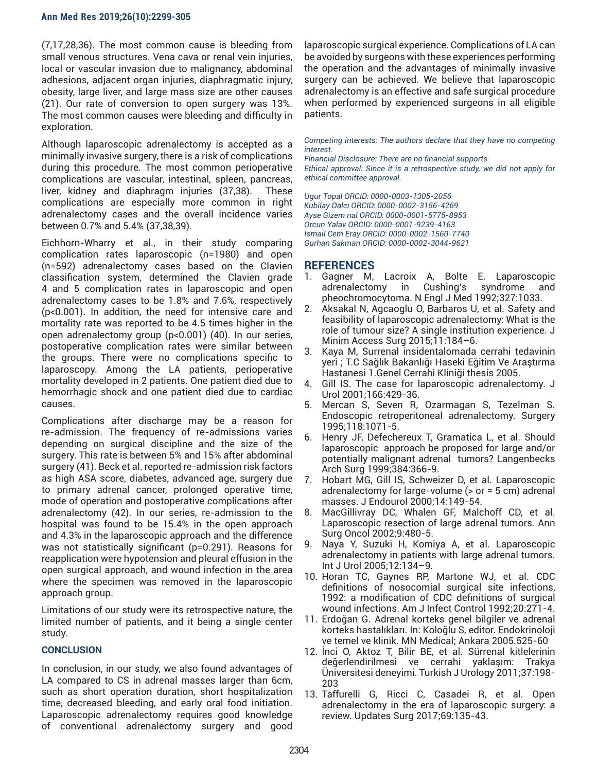(7,17,28,36). The most common cause is bleeding from small venous structures. Vena cava or renal vein injuries, local or vascular invasion due to malignancy, abdominal adhesions, adjacent organ injuries, diaphragmatic injury, obesity, large liver, and large mass size are other causes (21). Our rate of conversion to open surgery was 13%. The most common causes were bleeding and difficulty in exploration.

Although laparoscopic adrenalectomy is accepted as a minimally invasive surgery, there is a risk of complications during this procedure. The most common perioperative complications are vascular, intestinal, spleen, pancreas, liver, kidney and diaphragm injuries (37,38). These complications are especially more common in right adrenalectomy cases and the overall incidence varies between 0.7% and 5.4% (37,38,39).

Eichhorn-Wharry et al., in their study comparing complication rates laparoscopic (n=1980) and open (n=592) adrenalectomy cases based on the Clavien classification system, determined the Clavien grade 4 and 5 complication rates in laparoscopic and open adrenalectomy cases to be 1.8% and 7.6%, respectively (p<0.001). In addition, the need for intensive care and mortality rate was reported to be 4.5 times higher in the open adrenalectomy group (p<0.001) (40). In our series, postoperative complication rates were similar between the groups. There were no complications specific to laparoscopy. Among the LA patients, perioperative mortality developed in 2 patients. One patient died due to hemorrhagic shock and one patient died due to cardiac causes.

Complications after discharge may be a reason for re-admission. The frequency of re-admissions varies depending on surgical discipline and the size of the surgery. This rate is between 5% and 15% after abdominal surgery (41). Beck et al. reported re-admission risk factors as high ASA score, diabetes, advanced age, surgery due to primary adrenal cancer, prolonged operative time, mode of operation and postoperative complications after adrenalectomy (42). In our series, re-admission to the hospital was found to be 15.4% in the open approach and 4.3% in the laparoscopic approach and the difference was not statistically significant (p=0.291). Reasons for reapplication were hypotension and pleural effusion in the open surgical approach, and wound infection in the area where the specimen was removed in the laparoscopic approach group.

Limitations of our study were its retrospective nature, the limited number of patients, and it being a single center study.

### **CONCLUSION**

In conclusion, in our study, we also found advantages of LA compared to CS in adrenal masses larger than 6cm, such as short operation duration, short hospitalization time, decreased bleeding, and early oral food initiation. Laparoscopic adrenalectomy requires good knowledge of conventional adrenalectomy surgery and good

laparoscopic surgical experience. Complications of LA can be avoided by surgeons with these experiences performing the operation and the advantages of minimally invasive surgery can be achieved. We believe that laparoscopic adrenalectomy is an effective and safe surgical procedure when performed by experienced surgeons in all eligible patients.

*Competing interests: The authors declare that they have no competing interest.* 

*Financial Disclosure: There are no financial supports Ethical approval: Since it is a retrospective study, we did not apply for ethical committee approval.*

*Ugur Topal ORCID: 0000-0003-1305-2056 Kubilay Dalcı ORCID: 0000-0002-3156-4269 Ayse Gizem nal ORCID: 0000-0001-5775-8953 Orcun Yalav ORCID: 0000-0001-9239-4163 Ismail Cem Eray ORCID: 0000-0002-1560-7740 Gurhan Sakman ORCID: 0000-0002-3044-9621*

## **REFERENCES**

- 1. Gagner M, Lacroix A, Bolte E. Laparoscopic adrenalectomy in Cushing's syndrome and pheochromocytoma. N Engl J Med 1992;327:1033.
- 2. Aksakal N, Agcaoglu O, Barbaros U, et al. Safety and feasibility of laparoscopic adrenalectomy: What is the role of tumour size? A single institution experience. J Minim Access Surg 2015;11:184–6.
- 3. Kaya M, Surrenal insidentalomada cerrahi tedavinin yeri ; T.C Sağlık Bakanlığı Haseki Eğitim Ve Araştırma Hastanesi 1.Genel Cerrahi Kliniği thesis 2005.
- 4. Gill IS. The case for laparoscopic adrenalectomy. J Urol 2001;166:429-36.
- 5. Mercan S, Seven R, Ozarmagan S, Tezelman S. Endoscopic retroperitoneal adrenalectomy. Surgery 1995;118:1071-5.
- 6. Henry JF, Defechereux T, Gramatica L, et al. Should laparoscopic approach be proposed for large and/or potentially malignant adrenal tumors? Langenbecks Arch Surg 1999;384:366-9.
- 7. Hobart MG, Gill IS, Schweizer D, et al. Laparoscopic adrenalectomy for large-volume (> or = 5 cm) adrenal masses. J Endourol 2000;14:149-54.
- 8. MacGillivray DC, Whalen GF, Malchoff CD, et al. Laparoscopic resection of large adrenal tumors. Ann Surg Oncol 2002;9:480-5.
- 9. Naya Y, Suzuki H, Komiya A, et al. Laparoscopic adrenalectomy in patients with large adrenal tumors. Int J Urol 2005;12:134–9.
- 10. Horan TC, Gaynes RP, Martone WJ, et al. CDC definitions of nosocomial surgical site infections, 1992: a modification of CDC definitions of surgical wound infections. Am J Infect Control 1992;20:271-4.
- 11. Erdoğan G. Adrenal korteks genel bilgiler ve adrenal korteks hastalıkları. In: Koloğlu S, editor. Endokrinoloji ve temel ve klinik. MN Medical; Ankara 2005.525-60
- 12. İnci O, Aktoz T, Bilir BE, et al. Sürrenal kitlelerinin değerlendirilmesi ve cerrahi yaklaşım: Trakya Üniversitesi deneyimi. Turkish J Urology 2011;37:198- 203
- 13. Taffurelli G, Ricci C, Casadei R, et al. Open adrenalectomy in the era of laparoscopic surgery: a review. Updates Surg 2017;69:135-43.